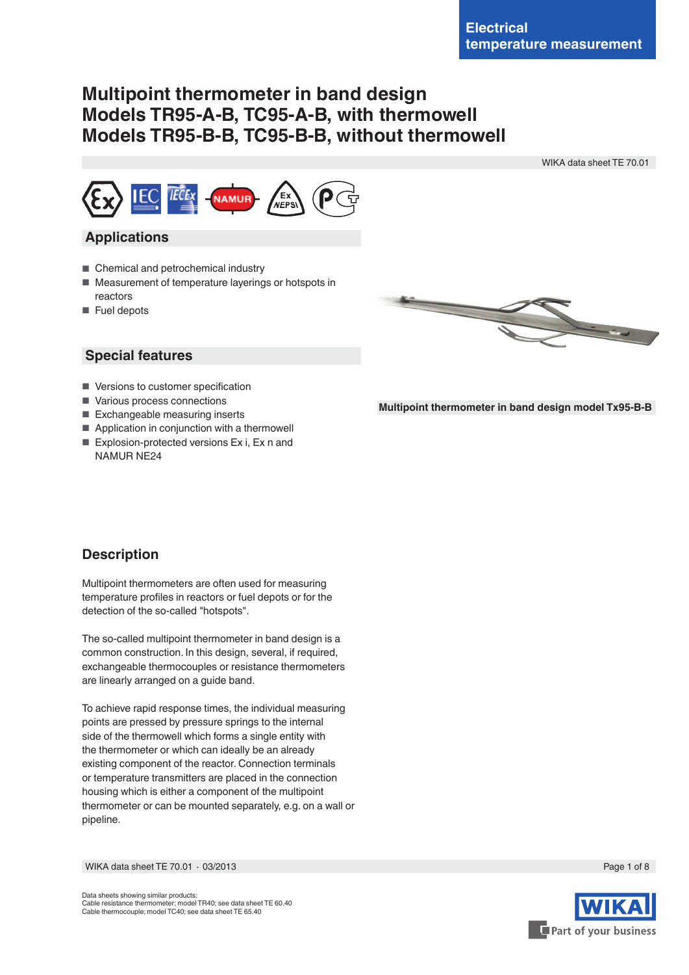# **Multipoint thermometer in band design Models TR95-A-B, TC95-A-B, with thermowell Models TR95-B-B, TC95-B-B, without thermowell**

WIKA data sheet TE 70.01



## **Applications**

- Chemical and petrochemical industry
- Measurement of temperature layerings or hotspots in reactors
- Fuel depots



### **Special features**

- Versions to customer specification
- Various process connections
- Exchangeable measuring inserts
- Application in conjunction with a thermowell
- Explosion-protected versions Ex i, Ex n and NAMUR NE24



# **Description**

Multipoint thermometers are often used for measuring temperature profiles in reactors or fuel depots or for the detection of the so-called "hotspots".

The so-called multipoint thermometer in band design is a common construction. In this design, several, if required, exchangeable thermocouples or resistance thermometers are linearly arranged on a guide band.

To achieve rapid response times, the individual measuring points are pressed by pressure springs to the internal side of the thermowell which forms a single entity with the thermometer or which can ideally be an already existing component of the reactor. Connection terminals or temperature transmitters are placed in the connection housing which is either a component of the multipoint thermometer or can be mounted separately, e.g. on a wall or pipeline.

WIKA data sheet TE 70.01 ∙ 03/2013 Page 1 of 8

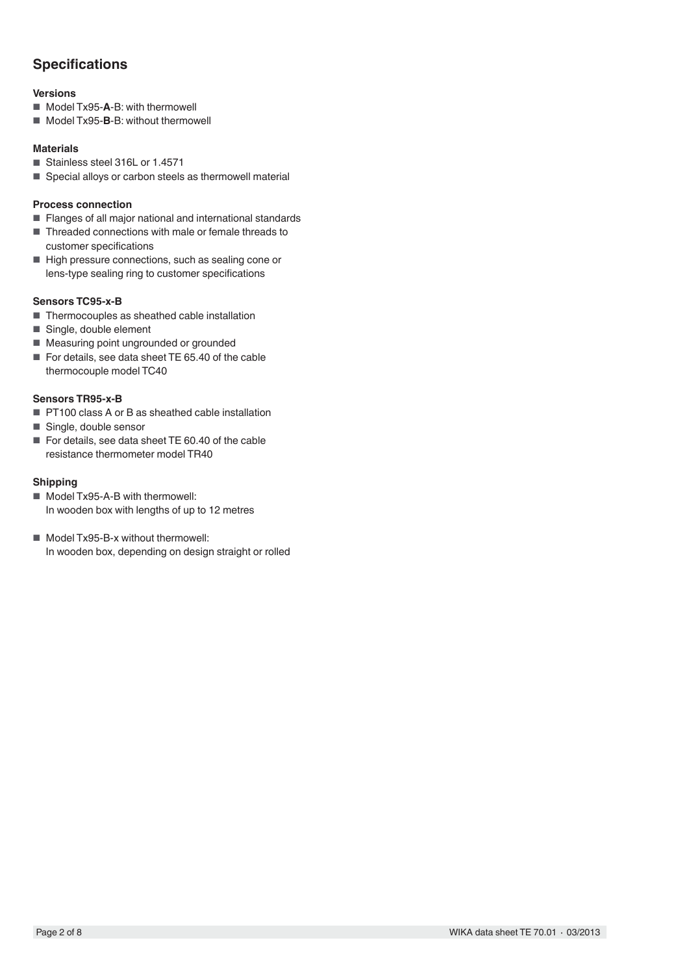# **Specifications**

### **Versions**

- Model Tx95-**A**-B: with thermowell
- Model Tx95-**B**-B: without thermowell

### **Materials**

- Stainless steel 316L or 1.4571
- Special alloys or carbon steels as thermowell material

#### **Process connection**

- Flanges of all major national and international standards
- Threaded connections with male or female threads to customer specifications
- High pressure connections, such as sealing cone or lens-type sealing ring to customer specifications

### **Sensors TC95-x-B**

- Thermocouples as sheathed cable installation
- Single, double element
- Measuring point ungrounded or grounded
- For details, see data sheet TE 65.40 of the cable thermocouple model TC40

#### **Sensors TR95-x-B**

- PT100 class A or B as sheathed cable installation
- Single, double sensor
- For details, see data sheet TE 60.40 of the cable resistance thermometer model TR40

#### **Shipping**

- Model Tx95-A-B with thermowell: In wooden box with lengths of up to 12 metres
- Model Tx95-B-x without thermowell: In wooden box, depending on design straight or rolled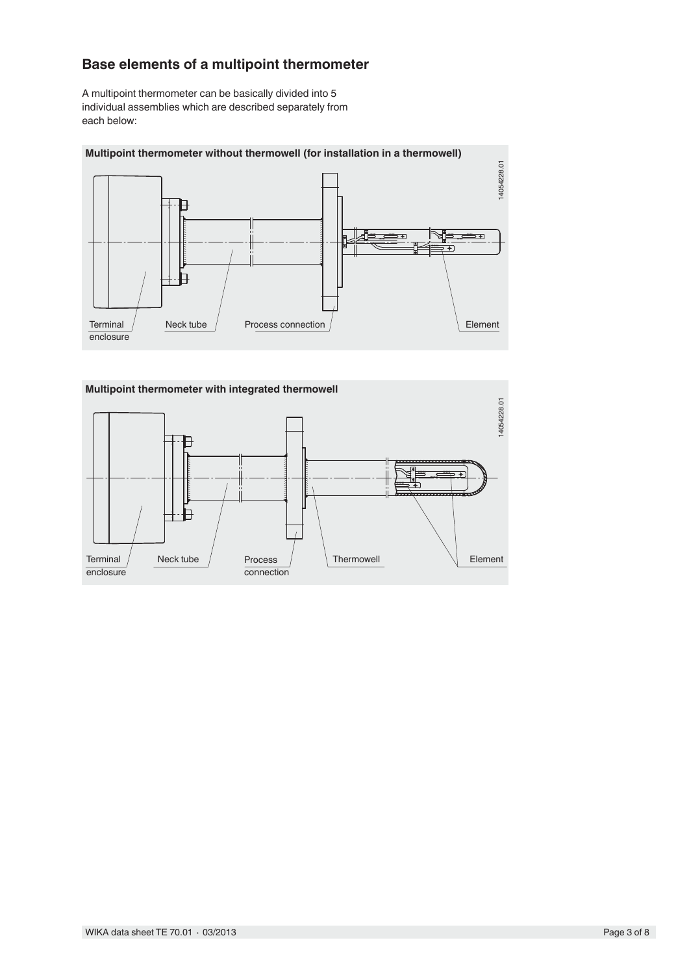# **Base elements of a multipoint thermometer**

A multipoint thermometer can be basically divided into 5 individual assemblies which are described separately from each below:



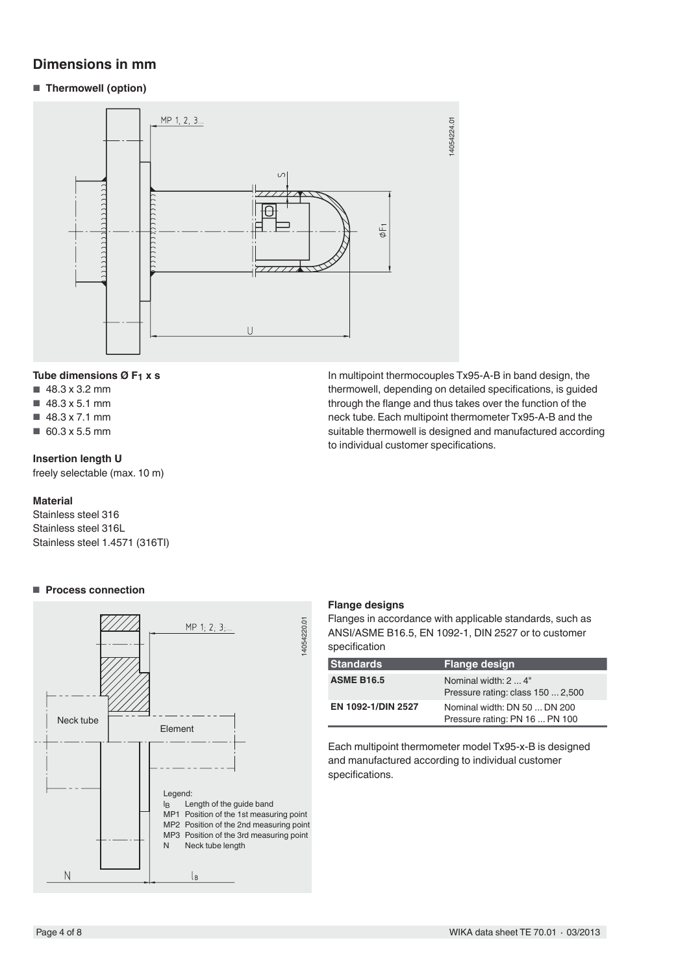# **Dimensions in mm**

■ **Thermowell (option)**



### **Tube dimensions Ø F1 x s**

- 48.3 x 3.2 mm
- $\blacksquare$  48.3 x 5.1 mm
- 48.3 x 7.1 mm
- 60.3 x 5.5 mm

### **Insertion length U**

freely selectable (max. 10 m)

#### **Material**

Stainless steel 316 Stainless steel 316L Stainless steel 1.4571 (316TI)



# ■ **Process connection**

In multipoint thermocouples Tx95-A-B in band design, the thermowell, depending on detailed specifications, is guided through the flange and thus takes over the function of the neck tube. Each multipoint thermometer Tx95-A-B and the suitable thermowell is designed and manufactured according to individual customer specifications.

#### **Flange designs**

Flanges in accordance with applicable standards, such as ANSI/ASME B16.5, EN 1092-1, DIN 2527 or to customer specification

| <b>Standards</b>   | <b>Flange design</b>                                           |
|--------------------|----------------------------------------------------------------|
| <b>ASME B16.5</b>  | Nominal width: 2  4"<br>Pressure rating: class 150  2,500      |
| EN 1092-1/DIN 2527 | Nominal width: DN 50  DN 200<br>Pressure rating: PN 16  PN 100 |

Each multipoint thermometer model Tx95-x-B is designed and manufactured according to individual customer specifications.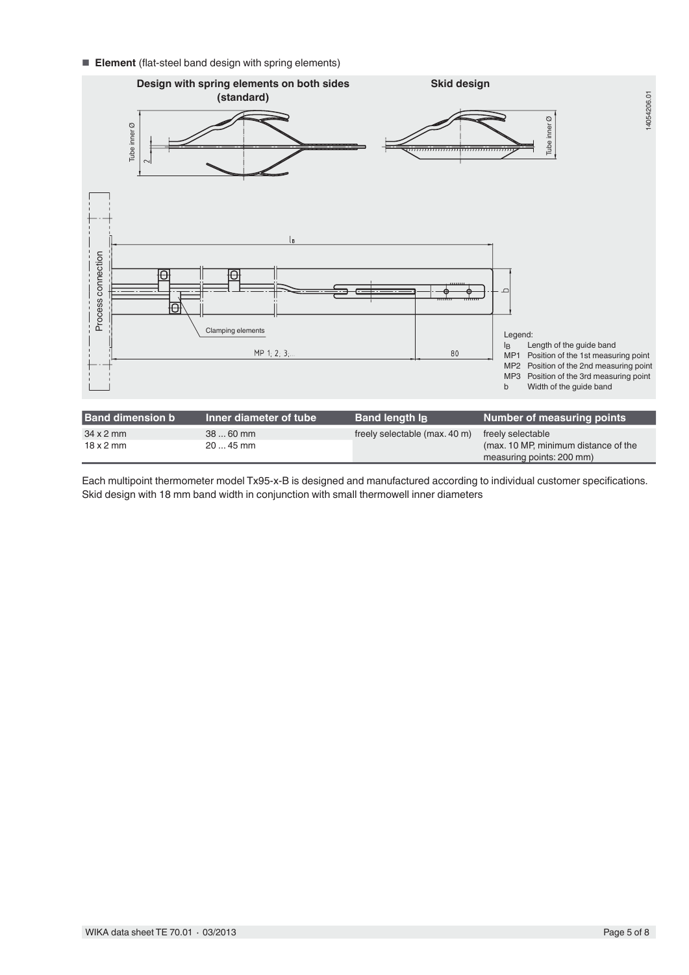■ **Element** (flat-steel band design with spring elements)



Each multipoint thermometer model Tx95-x-B is designed and manufactured according to individual customer specifications. Skid design with 18 mm band width in conjunction with small thermowell inner diameters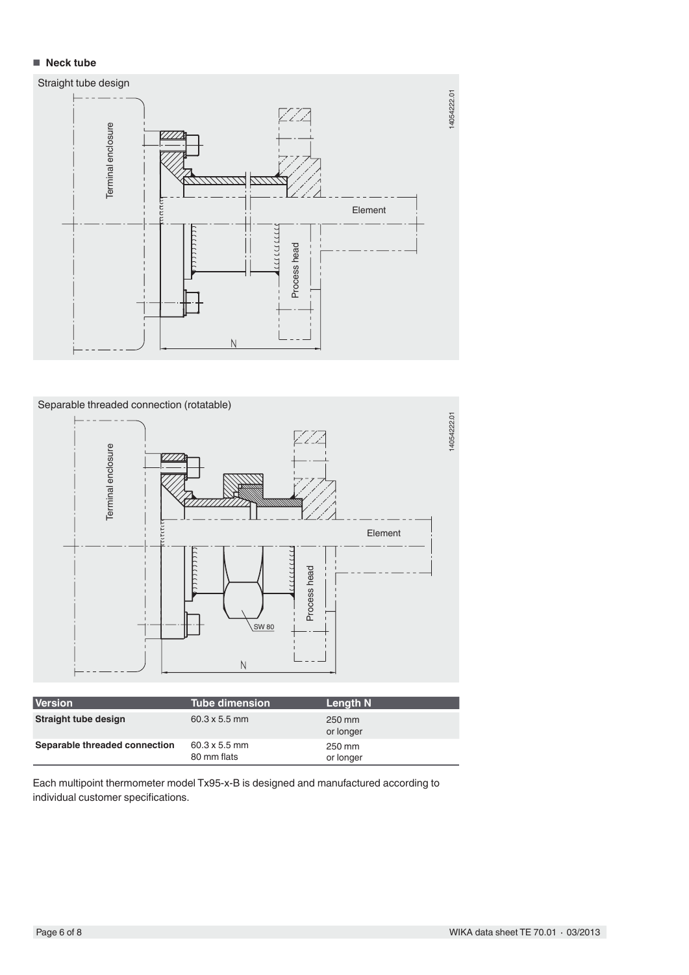### ■ **Neck tube**





| <b>Version</b>                | <b>Tube dimension</b>               | Length N            |
|-------------------------------|-------------------------------------|---------------------|
| Straight tube design          | $60.3 \times 5.5$ mm                | 250 mm<br>or longer |
| Separable threaded connection | $60.3 \times 5.5$ mm<br>80 mm flats | 250 mm<br>or longer |

Each multipoint thermometer model Tx95-x-B is designed and manufactured according to individual customer specifications.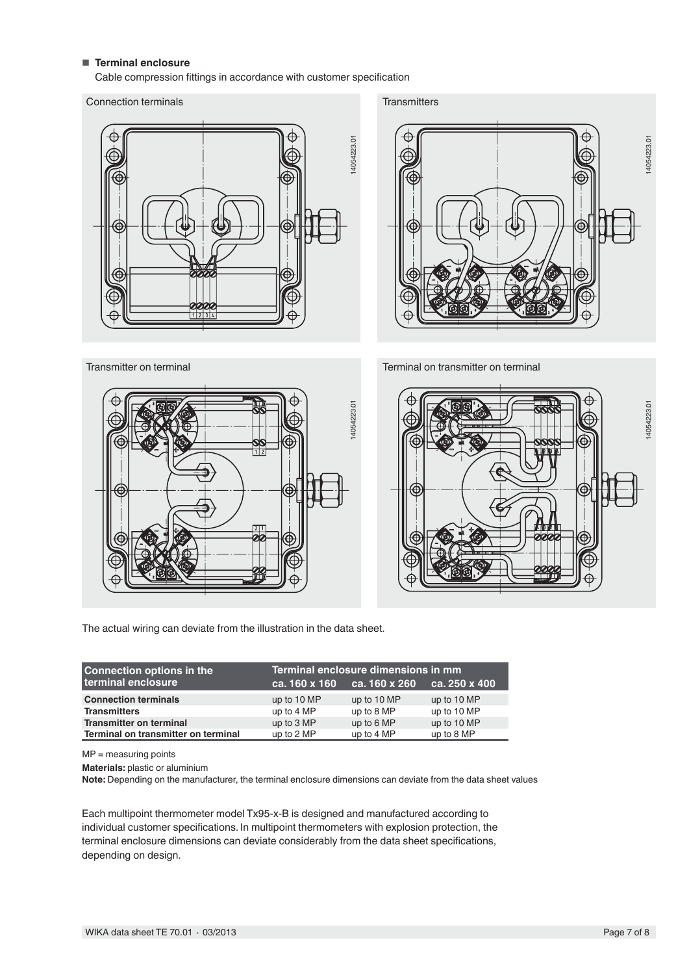### ■ **Terminal enclosure**

Cable compression fittings in accordance with customer specification

#### Connection terminals



**Transmitters** 



Terminal on transmitter on terminal





The actual wiring can deviate from the illustration in the data sheet.

| <b>Connection options in the</b>    | Terminal enclosure dimensions in mm |                     |               |
|-------------------------------------|-------------------------------------|---------------------|---------------|
| terminal enclosure                  | ca. 160 x 160                       | $ca.160 \times 260$ | ca. 250 x 400 |
| <b>Connection terminals</b>         | up to 10 MP                         | up to 10 MP         | up to 10 MP   |
| <b>Transmitters</b>                 | up to 4 MP                          | up to 8 MP          | up to 10 MP   |
| <b>Transmitter on terminal</b>      | up to 3 MP                          | up to 6 MP          | up to 10 MP   |
| Terminal on transmitter on terminal | up to 2 MP                          | up to 4 MP          | up to 8 MP    |

MP = measuring points

Materials: plastic or aluminium<br>Note: Depending on the manufacturer, the terminal enclosure dimensions can deviate from the data sheet values

Each multipoint thermometer model Tx95-x-B is designed and manufactured according to individual customer specifications. In multipoint thermometers with explosion protection, the terminal enclosure dimensions can deviate considerably from the data sheet specifications, depending on design.